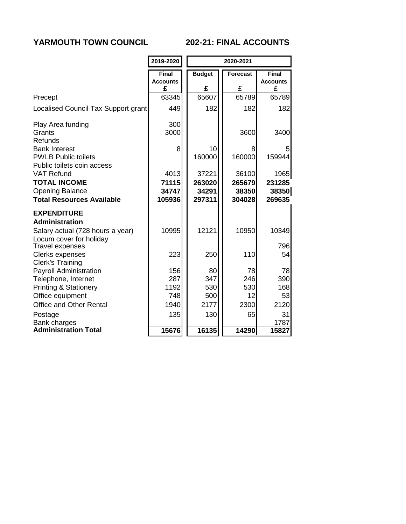# **YARMOUTH TOWN COUNCIL 202-21: FINAL ACCOUNTS**

|                                                                                                        | 2019-2020                            | 2020-2021                          |                                    |                                      |
|--------------------------------------------------------------------------------------------------------|--------------------------------------|------------------------------------|------------------------------------|--------------------------------------|
|                                                                                                        | <b>Final</b><br><b>Accounts</b><br>£ | <b>Budget</b><br>£                 | <b>Forecast</b><br>£               | <b>Final</b><br><b>Accounts</b><br>£ |
| Precept                                                                                                | 63345                                | 65607                              | 65789                              | 65789                                |
| Localised Council Tax Support grant                                                                    | 449                                  | 182                                | 182                                | 182                                  |
| Play Area funding<br>Grants<br><b>Refunds</b>                                                          | 300<br>3000                          |                                    | 3600                               | 3400                                 |
| <b>Bank Interest</b><br><b>PWLB Public toilets</b><br>Public toilets coin access                       | 8                                    | 10<br>160000                       | 8<br>160000                        | 5<br>159944                          |
| <b>VAT Refund</b><br><b>TOTAL INCOME</b><br><b>Opening Balance</b><br><b>Total Resources Available</b> | 4013<br>71115<br>34747<br>105936     | 37221<br>263020<br>34291<br>297311 | 36100<br>265679<br>38350<br>304028 | 1965<br>231285<br>38350<br>269635    |
| <b>EXPENDITURE</b><br><b>Administration</b>                                                            |                                      |                                    |                                    |                                      |
| Salary actual (728 hours a year)<br>Locum cover for holiday                                            | 10995                                | 12121                              | 10950                              | 10349                                |
| <b>Travel expenses</b><br><b>Clerks expenses</b><br><b>Clerk's Training</b>                            | 223                                  | 250                                | 110                                | 796<br>54                            |
| <b>Payroll Administration</b><br>Telephone, Internet                                                   | 156<br>287<br>1192                   | 80<br>347<br>530                   | 78<br>246<br>530                   | 78<br>390<br>168                     |
| <b>Printing &amp; Stationery</b><br>Office equipment                                                   | 748                                  | 500                                | 12                                 | 53                                   |
| <b>Office and Other Rental</b>                                                                         | 1940                                 | 2177                               | 2300                               | 2120                                 |
| Postage<br>Bank charges                                                                                | 135                                  | 130                                | 65                                 | 31<br>1787                           |
| <b>Administration Total</b>                                                                            | 15676                                | 16135                              | 14290                              | 15827                                |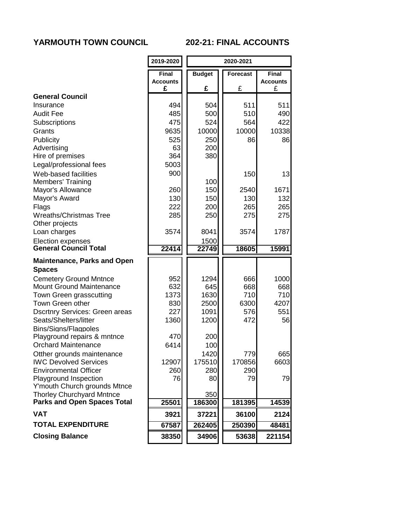### **YARMOUTH TOWN COUNCIL 202-21: FINAL ACCOUNTS**

|                                                            | 2019-2020            | 2020-2021     |          |                      |
|------------------------------------------------------------|----------------------|---------------|----------|----------------------|
|                                                            | <b>Final</b>         | <b>Budget</b> | Forecast | <b>Final</b>         |
|                                                            | <b>Accounts</b><br>£ | £             | £        | <b>Accounts</b><br>£ |
| <b>General Council</b>                                     |                      |               |          |                      |
| Insurance                                                  | 494                  | 504           | 511      | 511                  |
| <b>Audit Fee</b>                                           | 485                  | 500           | 510      | 490                  |
| <b>Subscriptions</b>                                       | 475                  | 524           | 564      | 422                  |
| Grants                                                     | 9635                 | 10000         | 10000    | 10338                |
| Publicity                                                  | 525                  | 250           | 86       | 86                   |
| Advertising                                                | 63                   | 200           |          |                      |
| Hire of premises                                           | 364                  | 380           |          |                      |
| Legal/professional fees                                    | 5003                 |               |          |                      |
| Web-based facilities                                       | 900                  |               | 150      | 13                   |
| <b>Members' Training</b>                                   |                      | 100           |          |                      |
| Mayor's Allowance                                          | 260                  | 150           | 2540     | 1671                 |
| Mayor's Award                                              | 130                  | 150           | 130      | 132                  |
| Flags                                                      | 222                  | 200           | 265      | 265                  |
| <b>Wreaths/Christmas Tree</b>                              | 285                  | 250           | 275      | 275                  |
| Other projects                                             |                      |               |          |                      |
| Loan charges                                               | 3574                 | 8041          | 3574     | 1787                 |
| <b>Election expenses</b>                                   |                      | 1500          |          |                      |
| <b>General Council Total</b>                               | 22414                | 22749         | 18605    | 15991                |
| <b>Maintenance, Parks and Open</b>                         |                      |               |          |                      |
| <b>Spaces</b>                                              |                      |               |          |                      |
| <b>Cemetery Ground Mntnce</b>                              | 952                  | 1294          | 666      | 1000                 |
| <b>Mount Ground Maintenance</b>                            | 632                  | 645           | 668      | 668                  |
| Town Green grasscutting                                    | 1373                 | 1630          | 710      | 710                  |
| Town Green other                                           | 830                  | 2500          | 6300     | 4207                 |
| <b>Dscrtnry Services: Green areas</b>                      | 227                  | 1091          | 576      | 551                  |
| Seats/Shelters/litter                                      | 1360                 | 1200          | 472      | 56                   |
| <b>Bins/Signs/Flagpoles</b><br>Playground repairs & mntnce | 470                  | 200           |          |                      |
| <b>Orchard Maintenance</b>                                 | 6414                 | 100           |          |                      |
| Otther grounds maintenance                                 |                      | 1420          | 779      | 665                  |
| <b>IWC Devolved Services</b>                               | 12907                | 175510        | 170856   | 6603                 |
| <b>Environmental Officer</b>                               | 260                  | 280           | 290      |                      |
| <b>Playground Inspection</b>                               | 76                   | 80            | 79       | 79                   |
| Y'mouth Church grounds Mtnce                               |                      |               |          |                      |
| <b>Thorley Churchyard Mntnce</b>                           |                      | 350           |          |                      |
| <b>Parks and Open Spaces Total</b>                         | 25501                | 186300        | 181395   | 14539                |
| <b>VAT</b>                                                 | 3921                 | 37221         | 36100    | 2124                 |
| <b>TOTAL EXPENDITURE</b>                                   | 67587                | 262405        | 250390   | 48481                |
| <b>Closing Balance</b>                                     | 38350                | 34906         | 53638    | 221154               |